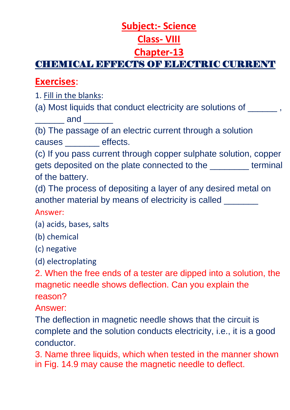## **Subject:- Science**

## **Class- VIII**

## **Chapter-13**

# CHEMICAL EFFECTS OF ELECTRIC CURRENT

## **Exercises**:

- 1. Fill in the blanks:
- (a) Most liquids that conduct electricity are solutions of \_\_\_\_\_\_,  $\blacksquare$  and  $\blacksquare$

(b) The passage of an electric current through a solution causes \_\_\_\_\_\_\_ effects.

(c) If you pass current through copper sulphate solution, copper gets deposited on the plate connected to the \_\_\_\_\_\_\_\_ terminal of the battery.

(d) The process of depositing a layer of any desired metal on another material by means of electricity is called

#### Answer:

- (a) acids, bases, salts
- (b) chemical
- (c) negative
- (d) electroplating

2. When the free ends of a tester are dipped into a solution, the magnetic needle shows deflection. Can you explain the reason?

Answer:

The deflection in magnetic needle shows that the circuit is complete and the solution conducts electricity, i.e., it is a good conductor.

3. Name three liquids, which when tested in the manner shown in Fig. 14.9 may cause the magnetic needle to deflect.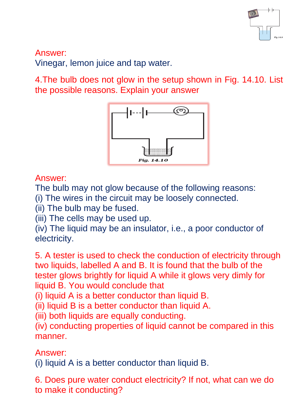

Answer:

Vinegar, lemon juice and tap water.

4.The bulb does not glow in the setup shown in Fig. 14.10. List the possible reasons. Explain your answer



Answer:

The bulb may not glow because of the following reasons:

(i) The wires in the circuit may be loosely connected.

(ii) The bulb may be fused.

(iii) The cells may be used up.

(iv) The liquid may be an insulator, i.e., a poor conductor of electricity.

5. A tester is used to check the conduction of electricity through two liquids, labelled A and B. It is found that the bulb of the tester glows brightly for liquid A while it glows very dimly for liquid B. You would conclude that

(i) liquid A is a better conductor than liquid B.

(ii) liquid B is a better conductor than liquid A.

(iii) both liquids are equally conducting.

(iv) conducting properties of liquid cannot be compared in this manner.

Answer:

(i) liquid A is a better conductor than liquid B.

6. Does pure water conduct electricity? If not, what can we do to make it conducting?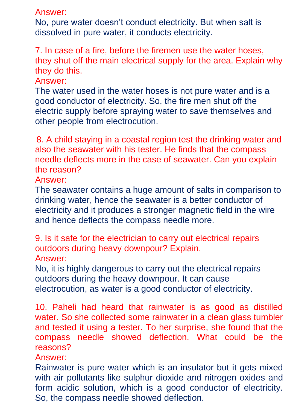Answer:

No, pure water doesn't conduct electricity. But when salt is dissolved in pure water, it conducts electricity.

7. In case of a fire, before the firemen use the water hoses, they shut off the main electrical supply for the area. Explain why they do this.

Answer:

The water used in the water hoses is not pure water and is a good conductor of electricity. So, the fire men shut off the electric supply before spraying water to save themselves and other people from electrocution.

8. A child staying in a coastal region test the drinking water and also the seawater with his tester. He finds that the compass needle deflects more in the case of seawater. Can you explain the reason?

Answer:

The seawater contains a huge amount of salts in comparison to drinking water, hence the seawater is a better conductor of electricity and it produces a stronger magnetic field in the wire and hence deflects the compass needle more.

9. Is it safe for the electrician to carry out electrical repairs outdoors during heavy downpour? Explain. Answer:

No, it is highly dangerous to carry out the electrical repairs outdoors during the heavy downpour. It can cause electrocution, as water is a good conductor of electricity.

10. Paheli had heard that rainwater is as good as distilled water. So she collected some rainwater in a clean glass tumbler and tested it using a tester. To her surprise, she found that the compass needle showed deflection. What could be the reasons?

Answer:

Rainwater is pure water which is an insulator but it gets mixed with air pollutants like sulphur dioxide and nitrogen oxides and form acidic solution, which is a good conductor of electricity. So, the compass needle showed deflection.